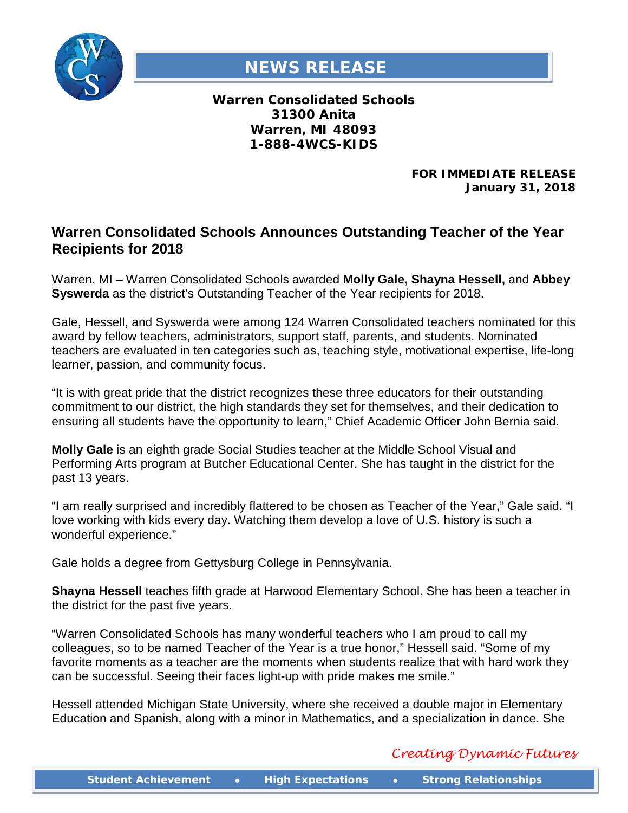

## **NEWS RELEASE**

**Warren Consolidated Schools 31300 Anita Warren, MI 48093 1-888-4WCS-KIDS**

> **FOR IMMEDIATE RELEASE January 31, 2018**

## **Warren Consolidated Schools Announces Outstanding Teacher of the Year Recipients for 2018**

Warren, MI – Warren Consolidated Schools awarded **Molly Gale, Shayna Hessell,** and **Abbey Syswerda** as the district's Outstanding Teacher of the Year recipients for 2018.

Gale, Hessell, and Syswerda were among 124 Warren Consolidated teachers nominated for this award by fellow teachers, administrators, support staff, parents, and students. Nominated teachers are evaluated in ten categories such as, teaching style, motivational expertise, life-long learner, passion, and community focus.

"It is with great pride that the district recognizes these three educators for their outstanding commitment to our district, the high standards they set for themselves, and their dedication to ensuring all students have the opportunity to learn," Chief Academic Officer John Bernia said.

**Molly Gale** is an eighth grade Social Studies teacher at the Middle School Visual and Performing Arts program at Butcher Educational Center. She has taught in the district for the past 13 years.

"I am really surprised and incredibly flattered to be chosen as Teacher of the Year," Gale said. "I love working with kids every day. Watching them develop a love of U.S. history is such a wonderful experience."

Gale holds a degree from Gettysburg College in Pennsylvania.

**Shayna Hessell** teaches fifth grade at Harwood Elementary School. She has been a teacher in the district for the past five years.

"Warren Consolidated Schools has many wonderful teachers who I am proud to call my colleagues, so to be named Teacher of the Year is a true honor," Hessell said. "Some of my favorite moments as a teacher are the moments when students realize that with hard work they can be successful. Seeing their faces light-up with pride makes me smile."

Hessell attended Michigan State University, where she received a double major in Elementary Education and Spanish, along with a minor in Mathematics, and a specialization in dance. She

## *Creating Dynamic Futures*